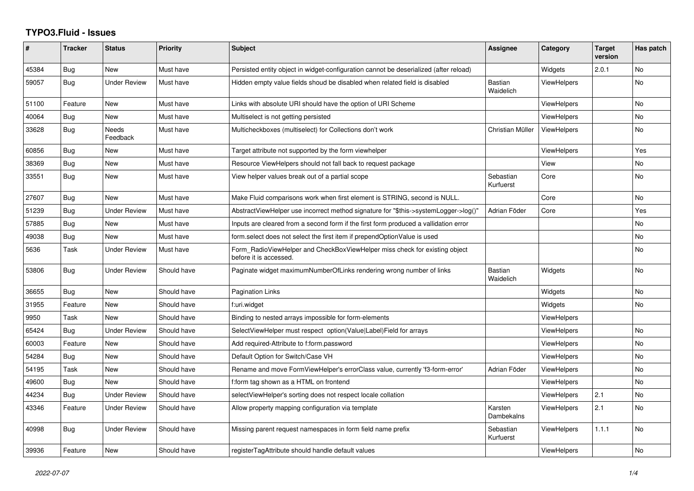## **TYPO3.Fluid - Issues**

| #     | <b>Tracker</b> | <b>Status</b>       | <b>Priority</b> | Subject                                                                                              | <b>Assignee</b>        | Category           | <b>Target</b><br>version | Has patch      |
|-------|----------------|---------------------|-----------------|------------------------------------------------------------------------------------------------------|------------------------|--------------------|--------------------------|----------------|
| 45384 | <b>Bug</b>     | <b>New</b>          | Must have       | Persisted entity object in widget-configuration cannot be deserialized (after reload)                |                        | Widgets            | 2.0.1                    | N <sub>o</sub> |
| 59057 | <b>Bug</b>     | Under Review        | Must have       | Hidden empty value fields shoud be disabled when related field is disabled                           | Bastian<br>Waidelich   | <b>ViewHelpers</b> |                          | <b>No</b>      |
| 51100 | Feature        | New                 | Must have       | Links with absolute URI should have the option of URI Scheme                                         |                        | <b>ViewHelpers</b> |                          | <b>No</b>      |
| 40064 | Bug            | <b>New</b>          | Must have       | Multiselect is not getting persisted                                                                 |                        | <b>ViewHelpers</b> |                          | No.            |
| 33628 | Bug            | Needs<br>Feedback   | Must have       | Multicheckboxes (multiselect) for Collections don't work                                             | Christian Müller       | <b>ViewHelpers</b> |                          | <b>No</b>      |
| 60856 | Bug            | New                 | Must have       | Target attribute not supported by the form viewhelper                                                |                        | <b>ViewHelpers</b> |                          | Yes            |
| 38369 | Bug            | <b>New</b>          | Must have       | Resource ViewHelpers should not fall back to request package                                         |                        | View               |                          | <b>No</b>      |
| 33551 | <b>Bug</b>     | New                 | Must have       | View helper values break out of a partial scope                                                      | Sebastian<br>Kurfuerst | Core               |                          | <b>No</b>      |
| 27607 | Bug            | New                 | Must have       | Make Fluid comparisons work when first element is STRING, second is NULL.                            |                        | Core               |                          | <b>No</b>      |
| 51239 | <b>Bug</b>     | <b>Under Review</b> | Must have       | AbstractViewHelper use incorrect method signature for "\$this->systemLogger->log()"                  | Adrian Föder           | Core               |                          | Yes            |
| 57885 | Bug            | New                 | Must have       | Inputs are cleared from a second form if the first form produced a vallidation error                 |                        |                    |                          | No             |
| 49038 | Bug            | New                 | Must have       | form.select does not select the first item if prependOptionValue is used                             |                        |                    |                          | <b>No</b>      |
| 5636  | Task           | Under Review        | Must have       | Form_RadioViewHelper and CheckBoxViewHelper miss check for existing object<br>before it is accessed. |                        |                    |                          | <b>No</b>      |
| 53806 | Bug            | Under Review        | Should have     | Paginate widget maximumNumberOfLinks rendering wrong number of links                                 | Bastian<br>Waidelich   | Widgets            |                          | No.            |
| 36655 | Bug            | New                 | Should have     | <b>Pagination Links</b>                                                                              |                        | Widgets            |                          | N <sub>o</sub> |
| 31955 | Feature        | New                 | Should have     | f:uri.widget                                                                                         |                        | Widgets            |                          | <b>No</b>      |
| 9950  | Task           | <b>New</b>          | Should have     | Binding to nested arrays impossible for form-elements                                                |                        | <b>ViewHelpers</b> |                          |                |
| 65424 | Bug            | <b>Under Review</b> | Should have     | SelectViewHelper must respect option(Value Label)Field for arrays                                    |                        | <b>ViewHelpers</b> |                          | N <sub>o</sub> |
| 60003 | Feature        | New                 | Should have     | Add required-Attribute to f:form.password                                                            |                        | <b>ViewHelpers</b> |                          | No             |
| 54284 | Bug            | <b>New</b>          | Should have     | Default Option for Switch/Case VH                                                                    |                        | <b>ViewHelpers</b> |                          | <b>No</b>      |
| 54195 | Task           | New                 | Should have     | Rename and move FormViewHelper's errorClass value, currently 'f3-form-error'                         | Adrian Föder           | <b>ViewHelpers</b> |                          | N <sub>o</sub> |
| 49600 | Bug            | New                 | Should have     | f:form tag shown as a HTML on frontend                                                               |                        | <b>ViewHelpers</b> |                          | No             |
| 44234 | Bug            | <b>Under Review</b> | Should have     | selectViewHelper's sorting does not respect locale collation                                         |                        | <b>ViewHelpers</b> | 2.1                      | <b>No</b>      |
| 43346 | Feature        | Under Review        | Should have     | Allow property mapping configuration via template                                                    | Karsten<br>Dambekalns  | ViewHelpers        | 2.1                      | N <sub>o</sub> |
| 40998 | Bug            | Under Review        | Should have     | Missing parent request namespaces in form field name prefix                                          | Sebastian<br>Kurfuerst | <b>ViewHelpers</b> | 1.1.1                    | <b>No</b>      |
| 39936 | Feature        | <b>New</b>          | Should have     | registerTagAttribute should handle default values                                                    |                        | ViewHelpers        |                          | <b>No</b>      |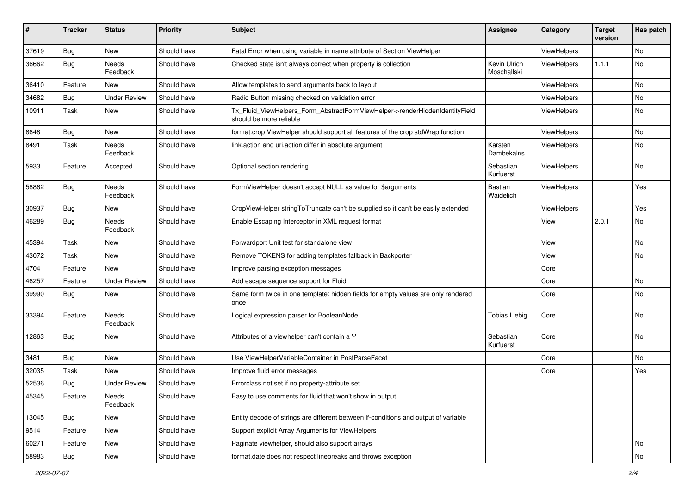| #     | <b>Tracker</b> | <b>Status</b>       | <b>Priority</b> | <b>Subject</b>                                                                                         | <b>Assignee</b>             | Category           | <b>Target</b><br>version | Has patch |
|-------|----------------|---------------------|-----------------|--------------------------------------------------------------------------------------------------------|-----------------------------|--------------------|--------------------------|-----------|
| 37619 | Bug            | New                 | Should have     | Fatal Error when using variable in name attribute of Section ViewHelper                                |                             | ViewHelpers        |                          | <b>No</b> |
| 36662 | Bug            | Needs<br>Feedback   | Should have     | Checked state isn't always correct when property is collection                                         | Kevin Ulrich<br>Moschallski | ViewHelpers        | 1.1.1                    | No        |
| 36410 | Feature        | New                 | Should have     | Allow templates to send arguments back to layout                                                       |                             | ViewHelpers        |                          | <b>No</b> |
| 34682 | Bug            | <b>Under Review</b> | Should have     | Radio Button missing checked on validation error                                                       |                             | <b>ViewHelpers</b> |                          | No        |
| 10911 | Task           | New                 | Should have     | Tx_Fluid_ViewHelpers_Form_AbstractFormViewHelper->renderHiddenIdentityField<br>should be more reliable |                             | ViewHelpers        |                          | No        |
| 8648  | Bug            | New                 | Should have     | format.crop ViewHelper should support all features of the crop stdWrap function                        |                             | ViewHelpers        |                          | No        |
| 8491  | Task           | Needs<br>Feedback   | Should have     | link.action and uri.action differ in absolute argument                                                 | Karsten<br>Dambekalns       | ViewHelpers        |                          | No        |
| 5933  | Feature        | Accepted            | Should have     | Optional section rendering                                                                             | Sebastian<br>Kurfuerst      | ViewHelpers        |                          | No        |
| 58862 | Bug            | Needs<br>Feedback   | Should have     | FormViewHelper doesn't accept NULL as value for \$arguments                                            | Bastian<br>Waidelich        | ViewHelpers        |                          | Yes       |
| 30937 | Bug            | New                 | Should have     | CropViewHelper stringToTruncate can't be supplied so it can't be easily extended                       |                             | ViewHelpers        |                          | Yes       |
| 46289 | Bug            | Needs<br>Feedback   | Should have     | Enable Escaping Interceptor in XML request format                                                      |                             | View               | 2.0.1                    | No        |
| 45394 | Task           | New                 | Should have     | Forwardport Unit test for standalone view                                                              |                             | View               |                          | No        |
| 43072 | Task           | New                 | Should have     | Remove TOKENS for adding templates fallback in Backporter                                              |                             | View               |                          | No        |
| 4704  | Feature        | New                 | Should have     | Improve parsing exception messages                                                                     |                             | Core               |                          |           |
| 46257 | Feature        | Under Review        | Should have     | Add escape sequence support for Fluid                                                                  |                             | Core               |                          | No        |
| 39990 | Bug            | New                 | Should have     | Same form twice in one template: hidden fields for empty values are only rendered<br>once              |                             | Core               |                          | No        |
| 33394 | Feature        | Needs<br>Feedback   | Should have     | Logical expression parser for BooleanNode                                                              | <b>Tobias Liebig</b>        | Core               |                          | <b>No</b> |
| 12863 | Bug            | New                 | Should have     | Attributes of a viewhelper can't contain a '-'                                                         | Sebastian<br>Kurfuerst      | Core               |                          | No        |
| 3481  | Bug            | New                 | Should have     | Use ViewHelperVariableContainer in PostParseFacet                                                      |                             | Core               |                          | No        |
| 32035 | Task           | New                 | Should have     | Improve fluid error messages                                                                           |                             | Core               |                          | Yes       |
| 52536 | Bug            | Under Review        | Should have     | Errorclass not set if no property-attribute set                                                        |                             |                    |                          |           |
| 45345 | Feature        | Needs<br>Feedback   | Should have     | Easy to use comments for fluid that won't show in output                                               |                             |                    |                          |           |
| 13045 | Bug            | New                 | Should have     | Entity decode of strings are different between if-conditions and output of variable                    |                             |                    |                          |           |
| 9514  | Feature        | New                 | Should have     | Support explicit Array Arguments for ViewHelpers                                                       |                             |                    |                          |           |
| 60271 | Feature        | New                 | Should have     | Paginate viewhelper, should also support arrays                                                        |                             |                    |                          | No        |
| 58983 | <b>Bug</b>     | New                 | Should have     | format.date does not respect linebreaks and throws exception                                           |                             |                    |                          | No        |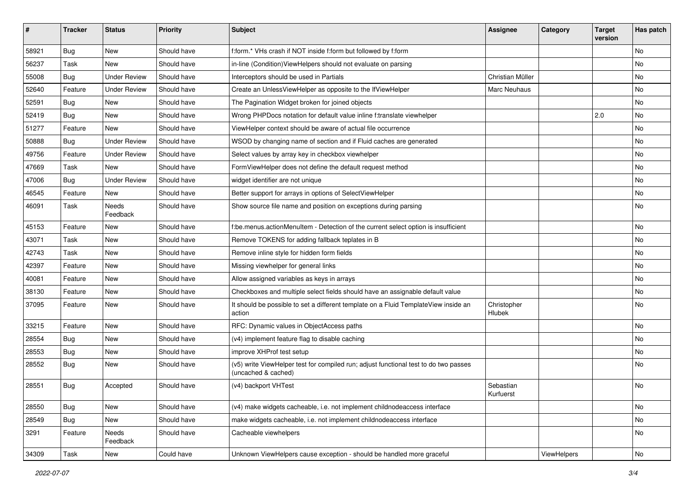| ∦     | <b>Tracker</b> | <b>Status</b>       | <b>Priority</b> | <b>Subject</b>                                                                                              | Assignee               | Category    | <b>Target</b><br>version | Has patch |
|-------|----------------|---------------------|-----------------|-------------------------------------------------------------------------------------------------------------|------------------------|-------------|--------------------------|-----------|
| 58921 | Bug            | New                 | Should have     | f:form.* VHs crash if NOT inside f:form but followed by f:form                                              |                        |             |                          | No        |
| 56237 | Task           | New                 | Should have     | in-line (Condition) View Helpers should not evaluate on parsing                                             |                        |             |                          | No        |
| 55008 | <b>Bug</b>     | <b>Under Review</b> | Should have     | Interceptors should be used in Partials                                                                     | Christian Müller       |             |                          | No        |
| 52640 | Feature        | <b>Under Review</b> | Should have     | Create an UnlessViewHelper as opposite to the IfViewHelper                                                  | <b>Marc Neuhaus</b>    |             |                          | No        |
| 52591 | Bug            | New                 | Should have     | The Pagination Widget broken for joined objects                                                             |                        |             |                          | No        |
| 52419 | Bug            | New                 | Should have     | Wrong PHPDocs notation for default value inline f:translate viewhelper                                      |                        |             | 2.0                      | No        |
| 51277 | Feature        | New                 | Should have     | ViewHelper context should be aware of actual file occurrence                                                |                        |             |                          | No        |
| 50888 | <b>Bug</b>     | <b>Under Review</b> | Should have     | WSOD by changing name of section and if Fluid caches are generated                                          |                        |             |                          | No        |
| 49756 | Feature        | <b>Under Review</b> | Should have     | Select values by array key in checkbox viewhelper                                                           |                        |             |                          | No        |
| 47669 | Task           | New                 | Should have     | FormViewHelper does not define the default request method                                                   |                        |             |                          | No        |
| 47006 | Bug            | <b>Under Review</b> | Should have     | widget identifier are not unique                                                                            |                        |             |                          | No        |
| 46545 | Feature        | New                 | Should have     | Better support for arrays in options of SelectViewHelper                                                    |                        |             |                          | No        |
| 46091 | Task           | Needs<br>Feedback   | Should have     | Show source file name and position on exceptions during parsing                                             |                        |             |                          | No        |
| 45153 | Feature        | New                 | Should have     | f:be.menus.actionMenuItem - Detection of the current select option is insufficient                          |                        |             |                          | No        |
| 43071 | Task           | New                 | Should have     | Remove TOKENS for adding fallback teplates in B                                                             |                        |             |                          | No        |
| 42743 | Task           | New                 | Should have     | Remove inline style for hidden form fields                                                                  |                        |             |                          | No        |
| 42397 | Feature        | New                 | Should have     | Missing viewhelper for general links                                                                        |                        |             |                          | No        |
| 40081 | Feature        | <b>New</b>          | Should have     | Allow assigned variables as keys in arrays                                                                  |                        |             |                          | No        |
| 38130 | Feature        | New                 | Should have     | Checkboxes and multiple select fields should have an assignable default value                               |                        |             |                          | No        |
| 37095 | Feature        | New                 | Should have     | It should be possible to set a different template on a Fluid TemplateView inside an<br>action               | Christopher<br>Hlubek  |             |                          | No        |
| 33215 | Feature        | <b>New</b>          | Should have     | RFC: Dynamic values in ObjectAccess paths                                                                   |                        |             |                          | No        |
| 28554 | Bug            | New                 | Should have     | (v4) implement feature flag to disable caching                                                              |                        |             |                          | No        |
| 28553 | <b>Bug</b>     | New                 | Should have     | improve XHProf test setup                                                                                   |                        |             |                          | No        |
| 28552 | <b>Bug</b>     | New                 | Should have     | (v5) write ViewHelper test for compiled run; adjust functional test to do two passes<br>(uncached & cached) |                        |             |                          | No        |
| 28551 | <b>Bug</b>     | Accepted            | Should have     | (v4) backport VHTest                                                                                        | Sebastian<br>Kurfuerst |             |                          | No        |
| 28550 | Bug            | New                 | Should have     | (v4) make widgets cacheable, i.e. not implement childnodeaccess interface                                   |                        |             |                          | No        |
| 28549 | Bug            | New                 | Should have     | make widgets cacheable, i.e. not implement childnodeaccess interface                                        |                        |             |                          | No        |
| 3291  | Feature        | Needs<br>Feedback   | Should have     | Cacheable viewhelpers                                                                                       |                        |             |                          | No        |
| 34309 | Task           | New                 | Could have      | Unknown ViewHelpers cause exception - should be handled more graceful                                       |                        | ViewHelpers |                          | No        |